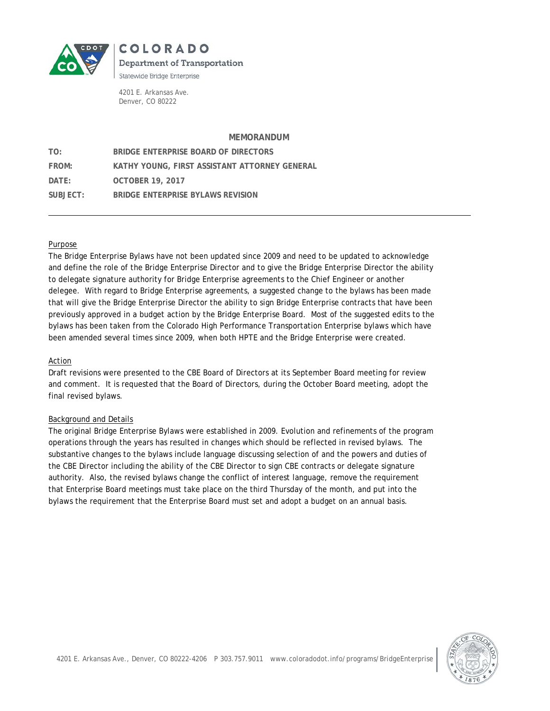

**COLORADO Department of Transportation** Statewide Bridge Enterprise

4201 E. Arkansas Ave. Denver, CO 80222

#### **MEMORANDUM**

| TO:      | BRIDGE ENTERPRISE BOARD OF DIRECTORS          |
|----------|-----------------------------------------------|
| FROM:    | KATHY YOUNG, FIRST ASSISTANT ATTORNEY GENERAL |
| DATF:    | <b>OCTOBER 19, 2017</b>                       |
| SUBJECT: | BRIDGE ENTERPRISE BYLAWS REVISION             |

#### Purpose

The Bridge Enterprise Bylaws have not been updated since 2009 and need to be updated to acknowledge and define the role of the Bridge Enterprise Director and to give the Bridge Enterprise Director the ability to delegate signature authority for Bridge Enterprise agreements to the Chief Engineer or another delegee. With regard to Bridge Enterprise agreements, a suggested change to the bylaws has been made that will give the Bridge Enterprise Director the ability to sign Bridge Enterprise contracts that have been previously approved in a budget action by the Bridge Enterprise Board. Most of the suggested edits to the bylaws has been taken from the Colorado High Performance Transportation Enterprise bylaws which have been amended several times since 2009, when both HPTE and the Bridge Enterprise were created.

#### Action

Draft revisions were presented to the CBE Board of Directors at its September Board meeting for review and comment. It is requested that the Board of Directors, during the October Board meeting, adopt the final revised bylaws.

#### Background and Details

The original Bridge Enterprise Bylaws were established in 2009. Evolution and refinements of the program operations through the years has resulted in changes which should be reflected in revised bylaws. The substantive changes to the bylaws include language discussing selection of and the powers and duties of the CBE Director including the ability of the CBE Director to sign CBE contracts or delegate signature authority. Also, the revised bylaws change the conflict of interest language, remove the requirement that Enterprise Board meetings must take place on the third Thursday of the month, and put into the bylaws the requirement that the Enterprise Board must set and adopt a budget on an annual basis.

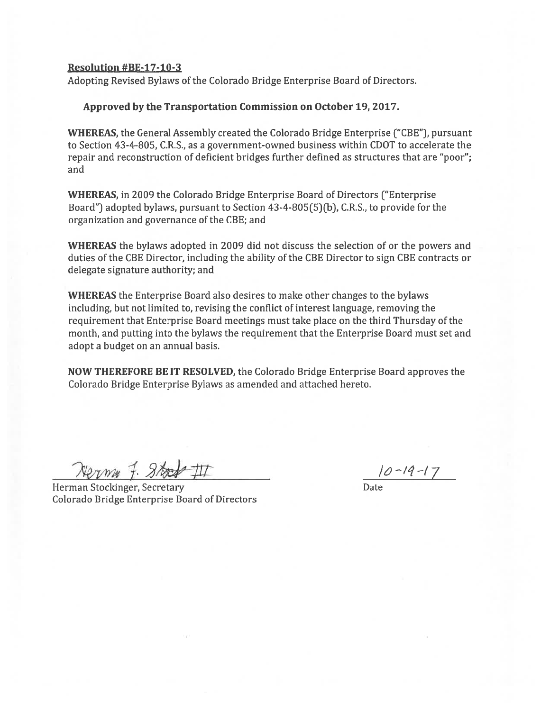#### Resolution #BE-17-1O-3

Adopting Revised Bylaws of the Colorado Bridge Enterprise Board of Directors.

#### Approved by the Transportation Commission on October 19, 2017.

WHEREAS, the General Assembly created the Colorado Bridge Enterprise ("CBE"), pursuan<sup>t</sup> to Section 43-4-805, C.R.S., as <sup>a</sup> government-owned business within CDOT to accelerate the repair and reconstruction of deficient bridges further defined as structures that are "poor"; and

WHEREAS, in 2009 the Colorado Bridge Enterprise Board of Directors ("Enterprise Board") adopted bylaws, pursuan<sup>t</sup> to Section 43-4-805(5)(b), C.R.S., to provide for the organization and governance of the CBE; and

WHEREAS the bylaws adopted in 2009 did not discuss the selection of or the powers and duties of the CBE Director, including the ability of the CBE Director to sign CBE contracts or delegate signature authority; and

WHEREAS the Enterprise Board also desires to make other changes to the bylaws including, but not limited to, revising the conflict of interest language, removing the requirement that Enterprise Board meetings must take place on the third Thursday of the month, and putting into the bylaws the requirement that the Enterprise Board must set and adopt <sup>a</sup> budget on an annual basis.

NOW THEREFORE BE IT RESOLVED, the Colorado Bridge Enterprise Board approves the Colorado Bridge Enterprise Bylaws as amended and attached hereto.

 $Neynw \neq 3$ ts  $\neq 11$ <br>nan Stockinger, Secretary

Herman Stockinger, Secretary Colorado Bridge Enterprise Board of Directors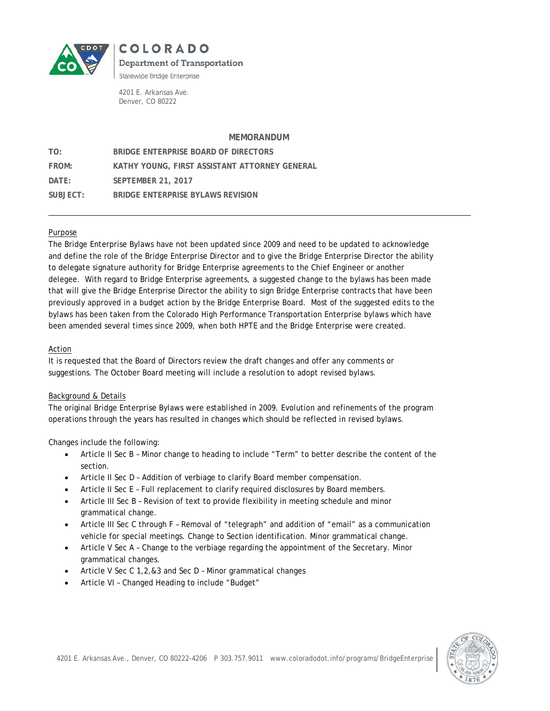

**COLORADO Department of Transportation** Statewide Bridge Enterprise

4201 E. Arkansas Ave. Denver, CO 80222

#### **MEMORANDUM**

| TO:      | BRIDGE ENTERPRISE BOARD OF DIRECTORS          |
|----------|-----------------------------------------------|
| FROM:    | KATHY YOUNG, FIRST ASSISTANT ATTORNEY GENERAL |
| DATF:    | <b>SEPTEMBER 21, 2017</b>                     |
| SUBJECT: | BRIDGE ENTERPRISE BYLAWS REVISION             |

#### Purpose

The Bridge Enterprise Bylaws have not been updated since 2009 and need to be updated to acknowledge and define the role of the Bridge Enterprise Director and to give the Bridge Enterprise Director the ability to delegate signature authority for Bridge Enterprise agreements to the Chief Engineer or another delegee. With regard to Bridge Enterprise agreements, a suggested change to the bylaws has been made that will give the Bridge Enterprise Director the ability to sign Bridge Enterprise contracts that have been previously approved in a budget action by the Bridge Enterprise Board. Most of the suggested edits to the bylaws has been taken from the Colorado High Performance Transportation Enterprise bylaws which have been amended several times since 2009, when both HPTE and the Bridge Enterprise were created.

#### Action

It is requested that the Board of Directors review the draft changes and offer any comments or suggestions. The October Board meeting will include a resolution to adopt revised bylaws.

#### Background & Details

The original Bridge Enterprise Bylaws were established in 2009. Evolution and refinements of the program operations through the years has resulted in changes which should be reflected in revised bylaws.

Changes include the following:

- Article II Sec B Minor change to heading to include "Term" to better describe the content of the section.
- Article II Sec D Addition of verbiage to clarify Board member compensation.
- Article II Sec E Full replacement to clarify required disclosures by Board members.
- Article III Sec B Revision of text to provide flexibility in meeting schedule and minor grammatical change.
- Article III Sec C through F Removal of "telegraph" and addition of "email" as a communication vehicle for special meetings. Change to Section identification. Minor grammatical change.
- Article V Sec A Change to the verbiage regarding the appointment of the Secretary. Minor grammatical changes.
- Article V Sec C 1,2,&3 and Sec D Minor grammatical changes
- Article VI Changed Heading to include "Budget"

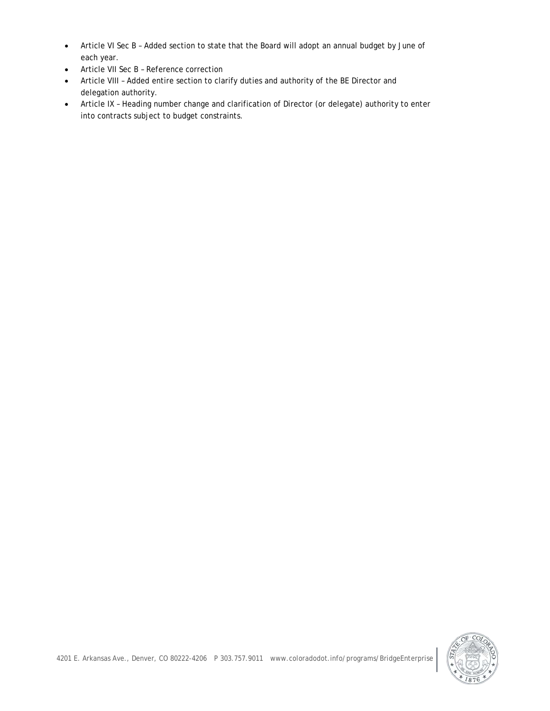- Article VI Sec B Added section to state that the Board will adopt an annual budget by June of each year.
- Article VII Sec B Reference correction
- Article VIII Added entire section to clarify duties and authority of the BE Director and delegation authority.
- Article IX Heading number change and clarification of Director (or delegate) authority to enter into contracts subject to budget constraints.

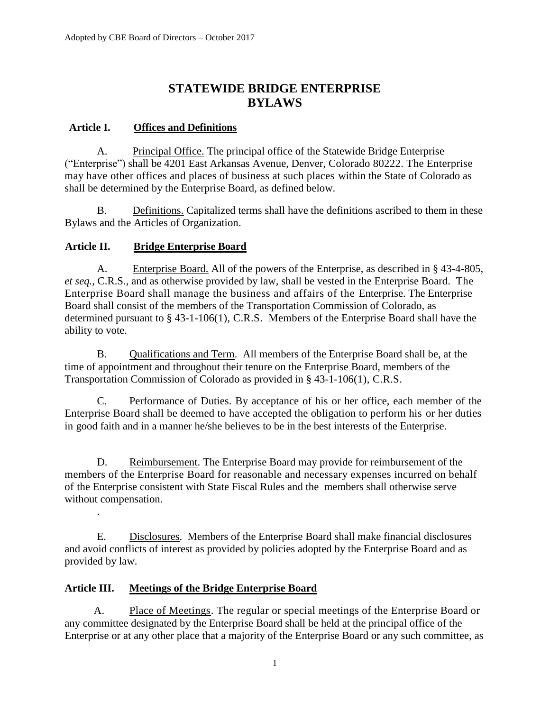# **STATEWIDE BRIDGE ENTERPRISE BYLAWS**

### **Article I. Offices and Definitions**

A. Principal Office. The principal office of the Statewide Bridge Enterprise ("Enterprise") shall be 4201 East Arkansas Avenue, Denver, Colorado 80222. The Enterprise may have other offices and places of business at such places within the State of Colorado as shall be determined by the Enterprise Board, as defined below.

B. Definitions. Capitalized terms shall have the definitions ascribed to them in these Bylaws and the Articles of Organization.

### **Article II. Bridge Enterprise Board**

A. Enterprise Board. All of the powers of the Enterprise, as described in § 43-4-805, *et seq.,* C.R.S.*,* and as otherwise provided by law, shall be vested in the Enterprise Board. The Enterprise Board shall manage the business and affairs of the Enterprise. The Enterprise Board shall consist of the members of the Transportation Commission of Colorado, as determined pursuant to § 43-1-106(1), C.R.S. Members of the Enterprise Board shall have the ability to vote.

B. Qualifications and Term. All members of the Enterprise Board shall be, at the time of appointment and throughout their tenure on the Enterprise Board, members of the Transportation Commission of Colorado as provided in § 43-1-106(1), C.R.S.

C. Performance of Duties. By acceptance of his or her office, each member of the Enterprise Board shall be deemed to have accepted the obligation to perform his or her duties in good faith and in a manner he/she believes to be in the best interests of the Enterprise.

D. Reimbursement. The Enterprise Board may provide for reimbursement of the members of the Enterprise Board for reasonable and necessary expenses incurred on behalf of the Enterprise consistent with State Fiscal Rules and the members shall otherwise serve without compensation.

E. Disclosures. Members of the Enterprise Board shall make financial disclosures and avoid conflicts of interest as provided by policies adopted by the Enterprise Board and as provided by law.

## **Article III. Meetings of the Bridge Enterprise Board**

.

A. Place of Meetings. The regular or special meetings of the Enterprise Board or any committee designated by the Enterprise Board shall be held at the principal office of the Enterprise or at any other place that a majority of the Enterprise Board or any such committee, as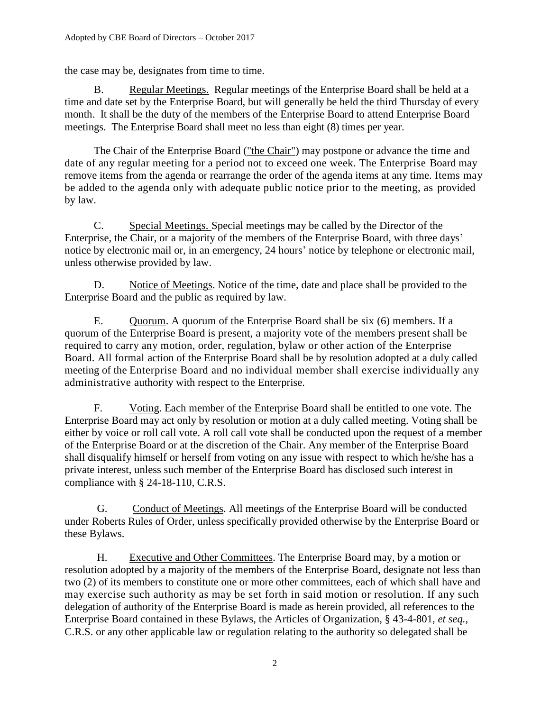the case may be, designates from time to time.

B. Regular Meetings. Regular meetings of the Enterprise Board shall be held at a time and date set by the Enterprise Board, but will generally be held the third Thursday of every month. It shall be the duty of the members of the Enterprise Board to attend Enterprise Board meetings. The Enterprise Board shall meet no less than eight (8) times per year.

The Chair of the Enterprise Board ("the Chair") may postpone or advance the time and date of any regular meeting for a period not to exceed one week. The Enterprise Board may remove items from the agenda or rearrange the order of the agenda items at any time. Items may be added to the agenda only with adequate public notice prior to the meeting, as provided by law.

C. Special Meetings. Special meetings may be called by the Director of the Enterprise, the Chair, or a majority of the members of the Enterprise Board, with three days' notice by electronic mail or, in an emergency, 24 hours' notice by telephone or electronic mail, unless otherwise provided by law.

D. Notice of Meetings. Notice of the time, date and place shall be provided to the Enterprise Board and the public as required by law.

E. Quorum. A quorum of the Enterprise Board shall be six (6) members. If a quorum of the Enterprise Board is present, a majority vote of the members present shall be required to carry any motion, order, regulation, bylaw or other action of the Enterprise Board. All formal action of the Enterprise Board shall be by resolution adopted at a duly called meeting of the Enterprise Board and no individual member shall exercise individually any administrative authority with respect to the Enterprise.

F. Voting. Each member of the Enterprise Board shall be entitled to one vote. The Enterprise Board may act only by resolution or motion at a duly called meeting. Voting shall be either by voice or roll call vote. A roll call vote shall be conducted upon the request of a member of the Enterprise Board or at the discretion of the Chair. Any member of the Enterprise Board shall disqualify himself or herself from voting on any issue with respect to which he/she has a private interest, unless such member of the Enterprise Board has disclosed such interest in compliance with § 24-18-110, C.R.S.

G. Conduct of Meetings. All meetings of the Enterprise Board will be conducted under Roberts Rules of Order, unless specifically provided otherwise by the Enterprise Board or these Bylaws.

H. Executive and Other Committees. The Enterprise Board may, by a motion or resolution adopted by a majority of the members of the Enterprise Board, designate not less than two (2) of its members to constitute one or more other committees, each of which shall have and may exercise such authority as may be set forth in said motion or resolution. If any such delegation of authority of the Enterprise Board is made as herein provided, all references to the Enterprise Board contained in these Bylaws, the Articles of Organization, § 43-4-801, *et seq.,*  C.R.S. or any other applicable law or regulation relating to the authority so delegated shall be